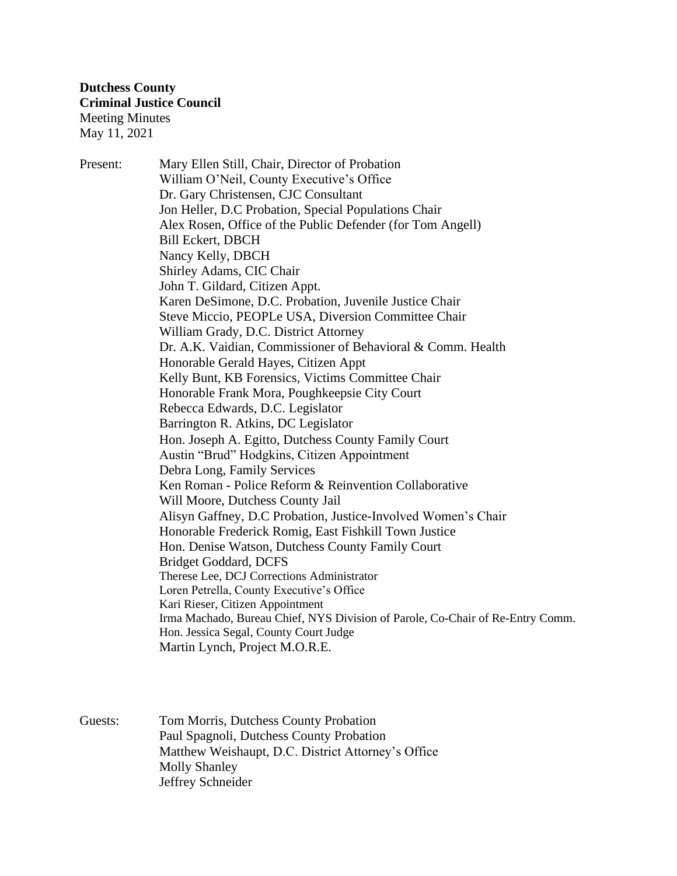Present: Mary Ellen Still, Chair, Director of Probation William O'Neil, County Executive's Office Dr. Gary Christensen, CJC Consultant Jon Heller, D.C Probation, Special Populations Chair Alex Rosen, Office of the Public Defender (for Tom Angell) Bill Eckert, DBCH Nancy Kelly, DBCH Shirley Adams, CIC Chair John T. Gildard, Citizen Appt. Karen DeSimone, D.C. Probation, Juvenile Justice Chair Steve Miccio, PEOPLe USA, Diversion Committee Chair William Grady, D.C. District Attorney Dr. A.K. Vaidian, Commissioner of Behavioral & Comm. Health Honorable Gerald Hayes, Citizen Appt Kelly Bunt, KB Forensics, Victims Committee Chair Honorable Frank Mora, Poughkeepsie City Court Rebecca Edwards, D.C. Legislator Barrington R. Atkins, DC Legislator Hon. Joseph A. Egitto, Dutchess County Family Court Austin "Brud" Hodgkins, Citizen Appointment Debra Long, Family Services Ken Roman - Police Reform & Reinvention Collaborative Will Moore, Dutchess County Jail Alisyn Gaffney, D.C Probation, Justice-Involved Women's Chair Honorable Frederick Romig, East Fishkill Town Justice Hon. Denise Watson, Dutchess County Family Court Bridget Goddard, DCFS Therese Lee, DCJ Corrections Administrator Loren Petrella, County Executive's Office Kari Rieser, Citizen Appointment Irma Machado, Bureau Chief, NYS Division of Parole, Co-Chair of Re-Entry Comm. Hon. Jessica Segal, County Court Judge Martin Lynch, Project M.O.R.E.

Guests: Tom Morris, Dutchess County Probation Paul Spagnoli, Dutchess County Probation Matthew Weishaupt, D.C. District Attorney's Office Molly Shanley Jeffrey Schneider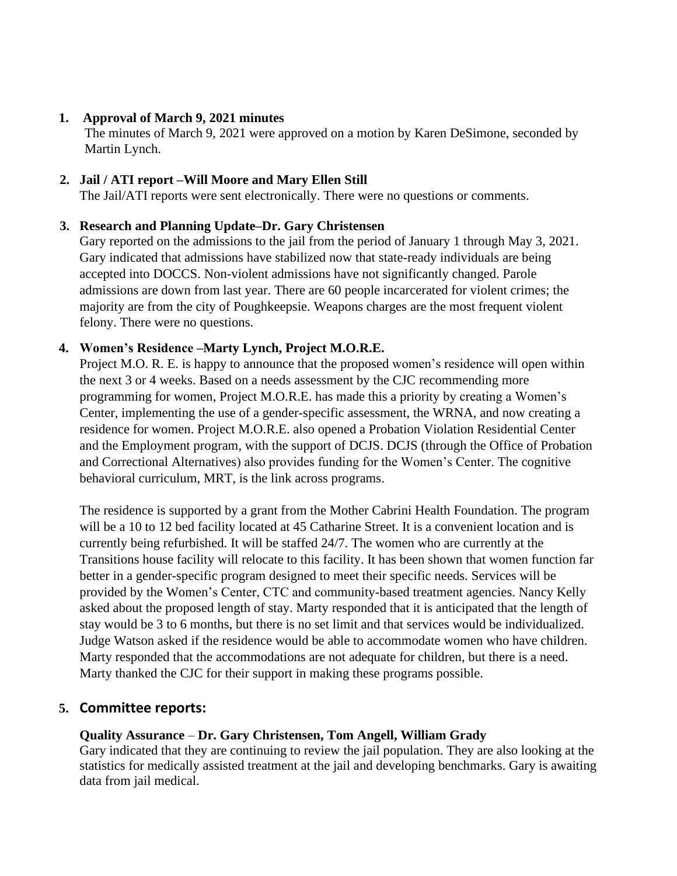## **1. Approval of March 9, 2021 minutes**

The minutes of March 9, 2021 were approved on a motion by Karen DeSimone, seconded by Martin Lynch.

## **2. Jail / ATI report –Will Moore and Mary Ellen Still**

The Jail/ATI reports were sent electronically. There were no questions or comments.

## **3. Research and Planning Update–Dr. Gary Christensen**

Gary reported on the admissions to the jail from the period of January 1 through May 3, 2021. Gary indicated that admissions have stabilized now that state-ready individuals are being accepted into DOCCS. Non-violent admissions have not significantly changed. Parole admissions are down from last year. There are 60 people incarcerated for violent crimes; the majority are from the city of Poughkeepsie. Weapons charges are the most frequent violent felony. There were no questions.

## **4. Women's Residence –Marty Lynch, Project M.O.R.E.**

Project M.O. R. E. is happy to announce that the proposed women's residence will open within the next 3 or 4 weeks. Based on a needs assessment by the CJC recommending more programming for women, Project M.O.R.E. has made this a priority by creating a Women's Center, implementing the use of a gender-specific assessment, the WRNA, and now creating a residence for women. Project M.O.R.E. also opened a Probation Violation Residential Center and the Employment program, with the support of DCJS. DCJS (through the Office of Probation and Correctional Alternatives) also provides funding for the Women's Center. The cognitive behavioral curriculum, MRT, is the link across programs.

The residence is supported by a grant from the Mother Cabrini Health Foundation. The program will be a 10 to 12 bed facility located at 45 Catharine Street. It is a convenient location and is currently being refurbished. It will be staffed 24/7. The women who are currently at the Transitions house facility will relocate to this facility. It has been shown that women function far better in a gender-specific program designed to meet their specific needs. Services will be provided by the Women's Center, CTC and community-based treatment agencies. Nancy Kelly asked about the proposed length of stay. Marty responded that it is anticipated that the length of stay would be 3 to 6 months, but there is no set limit and that services would be individualized. Judge Watson asked if the residence would be able to accommodate women who have children. Marty responded that the accommodations are not adequate for children, but there is a need. Marty thanked the CJC for their support in making these programs possible.

## **5. Committee reports:**

## **Quality Assurance** – **Dr. Gary Christensen, Tom Angell, William Grady**

Gary indicated that they are continuing to review the jail population. They are also looking at the statistics for medically assisted treatment at the jail and developing benchmarks. Gary is awaiting data from jail medical.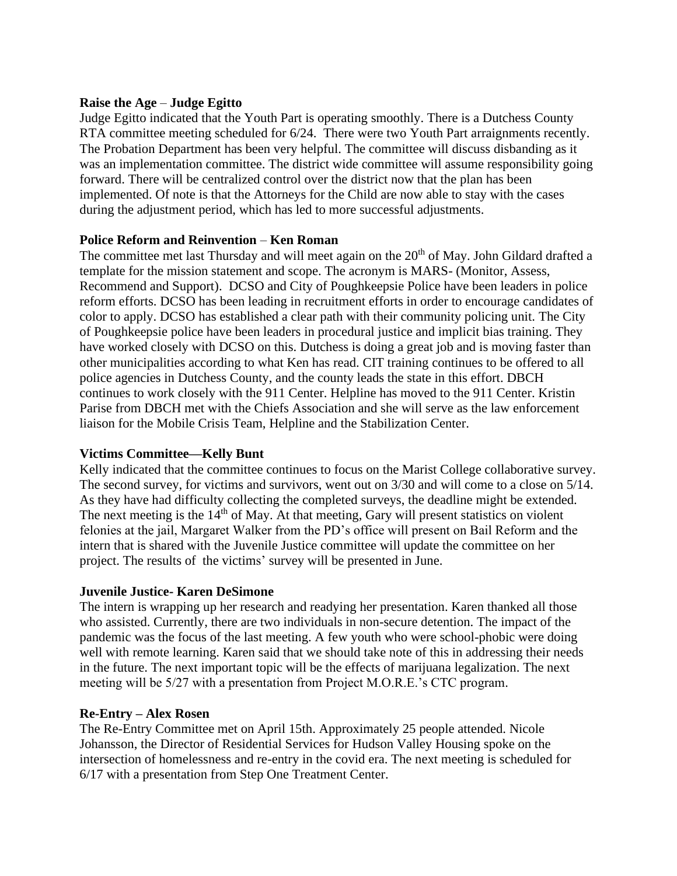### **Raise the Age** – **Judge Egitto**

Judge Egitto indicated that the Youth Part is operating smoothly. There is a Dutchess County RTA committee meeting scheduled for 6/24. There were two Youth Part arraignments recently. The Probation Department has been very helpful. The committee will discuss disbanding as it was an implementation committee. The district wide committee will assume responsibility going forward. There will be centralized control over the district now that the plan has been implemented. Of note is that the Attorneys for the Child are now able to stay with the cases during the adjustment period, which has led to more successful adjustments.

### **Police Reform and Reinvention** – **Ken Roman**

The committee met last Thursday and will meet again on the 20<sup>th</sup> of May. John Gildard drafted a template for the mission statement and scope. The acronym is MARS- (Monitor, Assess, Recommend and Support). DCSO and City of Poughkeepsie Police have been leaders in police reform efforts. DCSO has been leading in recruitment efforts in order to encourage candidates of color to apply. DCSO has established a clear path with their community policing unit. The City of Poughkeepsie police have been leaders in procedural justice and implicit bias training. They have worked closely with DCSO on this. Dutchess is doing a great job and is moving faster than other municipalities according to what Ken has read. CIT training continues to be offered to all police agencies in Dutchess County, and the county leads the state in this effort. DBCH continues to work closely with the 911 Center. Helpline has moved to the 911 Center. Kristin Parise from DBCH met with the Chiefs Association and she will serve as the law enforcement liaison for the Mobile Crisis Team, Helpline and the Stabilization Center.

#### **Victims Committee—Kelly Bunt**

Kelly indicated that the committee continues to focus on the Marist College collaborative survey. The second survey, for victims and survivors, went out on 3/30 and will come to a close on 5/14. As they have had difficulty collecting the completed surveys, the deadline might be extended. The next meeting is the  $14<sup>th</sup>$  of May. At that meeting, Gary will present statistics on violent felonies at the jail, Margaret Walker from the PD's office will present on Bail Reform and the intern that is shared with the Juvenile Justice committee will update the committee on her project. The results of the victims' survey will be presented in June.

#### **Juvenile Justice- Karen DeSimone**

The intern is wrapping up her research and readying her presentation. Karen thanked all those who assisted. Currently, there are two individuals in non-secure detention. The impact of the pandemic was the focus of the last meeting. A few youth who were school-phobic were doing well with remote learning. Karen said that we should take note of this in addressing their needs in the future. The next important topic will be the effects of marijuana legalization. The next meeting will be 5/27 with a presentation from Project M.O.R.E.'s CTC program.

#### **Re-Entry – Alex Rosen**

The Re-Entry Committee met on April 15th. Approximately 25 people attended. Nicole Johansson, the Director of Residential Services for Hudson Valley Housing spoke on the intersection of homelessness and re-entry in the covid era. The next meeting is scheduled for 6/17 with a presentation from Step One Treatment Center.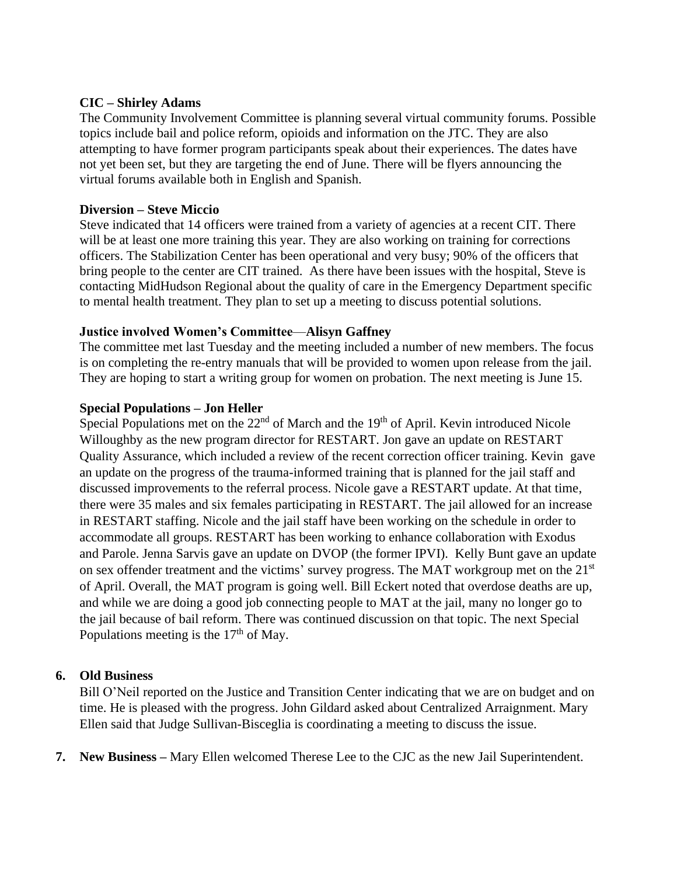#### **CIC – Shirley Adams**

The Community Involvement Committee is planning several virtual community forums. Possible topics include bail and police reform, opioids and information on the JTC. They are also attempting to have former program participants speak about their experiences. The dates have not yet been set, but they are targeting the end of June. There will be flyers announcing the virtual forums available both in English and Spanish.

#### **Diversion – Steve Miccio**

Steve indicated that 14 officers were trained from a variety of agencies at a recent CIT. There will be at least one more training this year. They are also working on training for corrections officers. The Stabilization Center has been operational and very busy; 90% of the officers that bring people to the center are CIT trained. As there have been issues with the hospital, Steve is contacting MidHudson Regional about the quality of care in the Emergency Department specific to mental health treatment. They plan to set up a meeting to discuss potential solutions.

### **Justice involved Women's Committee**—**Alisyn Gaffney**

The committee met last Tuesday and the meeting included a number of new members. The focus is on completing the re-entry manuals that will be provided to women upon release from the jail. They are hoping to start a writing group for women on probation. The next meeting is June 15.

### **Special Populations – Jon Heller**

Special Populations met on the 22<sup>nd</sup> of March and the 19<sup>th</sup> of April. Kevin introduced Nicole Willoughby as the new program director for RESTART. Jon gave an update on RESTART Quality Assurance, which included a review of the recent correction officer training. Kevin gave an update on the progress of the trauma-informed training that is planned for the jail staff and discussed improvements to the referral process. Nicole gave a RESTART update. At that time, there were 35 males and six females participating in RESTART. The jail allowed for an increase in RESTART staffing. Nicole and the jail staff have been working on the schedule in order to accommodate all groups. RESTART has been working to enhance collaboration with Exodus and Parole. Jenna Sarvis gave an update on DVOP (the former IPVI). Kelly Bunt gave an update on sex offender treatment and the victims' survey progress. The MAT workgroup met on the 21<sup>st</sup> of April. Overall, the MAT program is going well. Bill Eckert noted that overdose deaths are up, and while we are doing a good job connecting people to MAT at the jail, many no longer go to the jail because of bail reform. There was continued discussion on that topic. The next Special Populations meeting is the  $17<sup>th</sup>$  of May.

## **6. Old Business**

Bill O'Neil reported on the Justice and Transition Center indicating that we are on budget and on time. He is pleased with the progress. John Gildard asked about Centralized Arraignment. Mary Ellen said that Judge Sullivan-Bisceglia is coordinating a meeting to discuss the issue.

**7. New Business –** Mary Ellen welcomed Therese Lee to the CJC as the new Jail Superintendent.